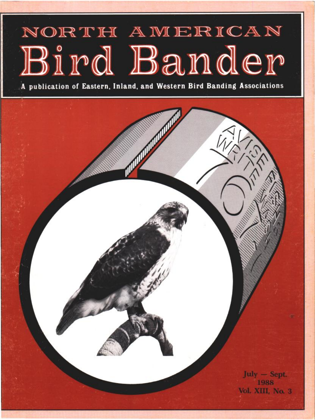# NORTH AMERICAN Bird Bander

**A publication of Eastern, Inland, and Western Bird Banding Associations** 

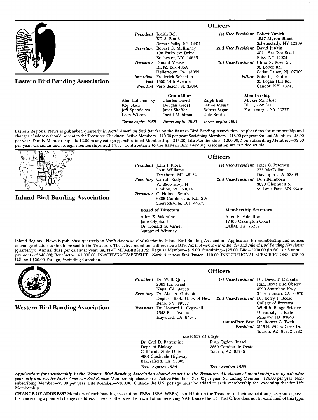|                                         |   | <b>Officers</b>                                                                          |                                       |                                                                         |
|-----------------------------------------|---|------------------------------------------------------------------------------------------|---------------------------------------|-------------------------------------------------------------------------|
|                                         |   | <b>President</b> Judith Bell<br>RD 3. Box 61<br>Newark Valley, NY 13811                  | 1st Vice-President Robert Yunick      | 1527 Myron Street<br>Schenectady, NY 12309                              |
|                                         |   | Secretary Robert G. McKinney<br>198 Parkview Drive<br>Rochester, NY 14625                | 2nd Vice-President David Junkin       | 3071 Pee Dee Road<br>Bliss. NY 14024                                    |
|                                         |   | Treasurer Donald Mease<br>RD#2, Box 436A<br>Hellertown, PA 18055                         | 3rd Vice-President Chris N. Rose, Sr. | 98 Lopez Rd.<br>Cedar Grove, NJ 07009                                   |
| <b>Eastern Bird Banding Association</b> |   | Immediate Frederick Schaeffer<br>Past 1650 14th Avenue<br>President Vero Beach, FL 32060 |                                       | <b>Editor</b> Robert J. Pantle<br>35 Logan Hill Rd.<br>Candor, NY 13743 |
|                                         | . | Membership<br><b>Councillors</b><br>.                                                    |                                       |                                                                         |

**Alan Lubchansky Charles David Douglas Gross**<br>**Janet Shaffer Jeff Spendelow**<br>Leon Wilson David Mehlman **Terms expire 1989 Terms expire 1990 Ralph Bell Mickie Mutchler**  Elaine Mease RD 1, Box 210<br>Robert Sagar Forestburgh, N Forestburgh, NY 12777 **Gale Smith Terms expire 1991** 

**Eastern Regional News is published quarterly in North American Bird Bander by the Eastern Bird Banding Association. Applications for membership and**  changes of address should be sent to the Treasurer. The dues: Active Members-\$10.00 per year; Sustaining Members-\$18.00 per year; Student Members-\$8.00 **per year; Family Membership add \$2.00 to any category; Institutional Membership--\$15.00; Life Membership--S200.00; Non-subscribing Members--S3.00 per year. Canadian and foreign memberships add \$4.50. Contributions to the Eastern Bird Banding Association are tax deductible.** 



# **Inland Bird Banding Association**

President John J. Flora **3636 Williams Dearborn, MI 48124 Secretary Carroll Rudy W. 3866 Hwy. H. Chilton, WI 53014 Treasurer C. Holmes Smith 6305 Cumberland Rd., SW Sherrodsville, OH 44675** 

**Board of Directors** 

**Allen E. Valentine Jane Olyphant Dr. Donald G. Varner Nathaniel Whitney** 

## **Officers**

**1st Vice-President Peter C. Petersen 235 McClellan Davenport, IA 52803 2nd Vice-President 3630 Glenhurst S. St. Louis Park, MN 55416** 

### **Membership Secretary**

**Allen E. Valentine 17403 Oakington Court Dallas, TX 75252** 

**Inland Regional News is published quarterly in North American Bird Bander by Inland Bird Banding Association. Application for membership and notices of change of addresshould be sent to the Treasurer. The active members will receive BOTH North American Bird Bander and Inland Bird Banding Newsletter (quarterly): Annual dues per calendar year: ACTIVE MEMBERSHIPS: Regular Member--\$15.00; Sustaining--S25.00; Life--S200.00 (in full, or 5 annual**  payments of \$40.00); Benefactor-\$1,000.00. IN-ACTIVE MEMBERSHIP: North American Bird Bander-\$10.00; INSTITUTIONAL SUBSCRIPTIONS: \$15.00 **U.S. and \$20.00 Foreign, including Canadian.** 



**Western Bird Banding Association** 

| <b>President</b> Dr. W. B. Quay<br>2003 Ida Street |                                       | 1st Vice-President Dr. David F. DeSante<br>Point Reyes Bird Observ. |
|----------------------------------------------------|---------------------------------------|---------------------------------------------------------------------|
| Napa, CA 94558                                     |                                       | 4990 Shoreline Hwy                                                  |
| Secretary Dr. Alan A. Gubanich                     |                                       | Stinson Beach, CA 94970                                             |
| Dept. of Biol., Univ. of Nev.                      | 2nd Vice-President Dr. Kerry P. Reese |                                                                     |
| Reno, NV 89557                                     |                                       | College of Forestry                                                 |
| <b>Treasurer</b> Dr. Howard L. Cogswell            |                                       | Wildlife Range Science                                              |
| 1548 East Avenue                                   |                                       | University of Idaho                                                 |
| Hayward, CA 94541                                  |                                       | Moscow, ID 83843                                                    |
|                                                    |                                       | <b>Immediate Past</b> Dr. Robert C. Tweit                           |

**Officers** 

**President 3116 N. Willow Creek Dr. Stinson Beach, CA 94970 Dr. Kerry E Reese College of Forestry Range Science University of Idaho Moscow, ID 83843 Dr. Robert C. Tweit Tucson, AZ 85712-1382** 

Dr. Carl D. Barrentine<br>Dept. of Biology **California State Univ. 9001 Stockdale Highway Bakersfield, CA 93309 Term expires 1988 Term expires 1989** 

**Directors at Large**<br>**Ruth Ogden Russell** 2850 Camino de Oeste<br>Tucson, AZ 85745

**Applications for membership in the Western Bird Banding Association should be sent to the Treasurer. All classes of membership are by calendar**  year only and receive North American Bird Bander. Membership classes are: Active Member-\$13.00 per year; Sustaining Member-\$26.00 per year; Non**subscribing Member--S3.00 per year; Life Member--S260.00. Outside the U.S. postage must be added to each membership fee, excepting that for Life Membership.** 

CHANGE OF ADDRESS? Members of each banding association (EBBA, IBBA, WBBA) should inform the Treasurer of their association(s) as soon as possi**ble concerning aplanned change of address. There is otherwise the hazard of not receiving NABB, since the U.S. Post Office does not forward mail of this type.**